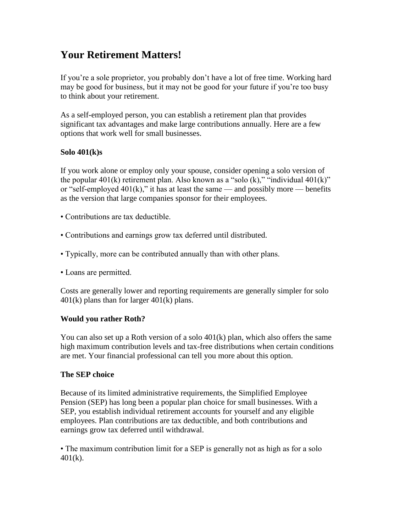# **Your Retirement Matters!**

If you're a sole proprietor, you probably don't have a lot of free time. Working hard may be good for business, but it may not be good for your future if you're too busy to think about your retirement.

As a self-employed person, you can establish a retirement plan that provides significant tax advantages and make large contributions annually. Here are a few options that work well for small businesses.

### **Solo 401(k)s**

If you work alone or employ only your spouse, consider opening a solo version of the popular  $401(k)$  retirement plan. Also known as a "solo  $(k)$ ," "individual  $401(k)$ " or "self-employed  $401(k)$ ," it has at least the same — and possibly more — benefits as the version that large companies sponsor for their employees.

- Contributions are tax deductible.
- Contributions and earnings grow tax deferred until distributed.
- Typically, more can be contributed annually than with other plans.
- Loans are permitted.

Costs are generally lower and reporting requirements are generally simpler for solo  $401(k)$  plans than for larger  $401(k)$  plans.

#### **Would you rather Roth?**

You can also set up a Roth version of a solo 401(k) plan, which also offers the same high maximum contribution levels and tax-free distributions when certain conditions are met. Your financial professional can tell you more about this option.

## **The SEP choice**

Because of its limited administrative requirements, the Simplified Employee Pension (SEP) has long been a popular plan choice for small businesses. With a SEP, you establish individual retirement accounts for yourself and any eligible employees. Plan contributions are tax deductible, and both contributions and earnings grow tax deferred until withdrawal.

• The maximum contribution limit for a SEP is generally not as high as for a solo 401(k).